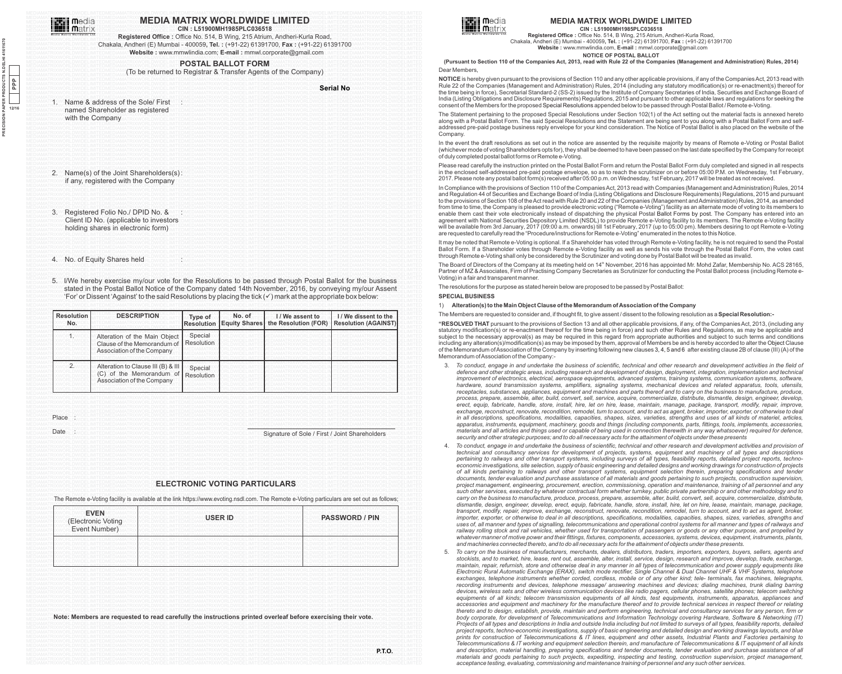

# MEDAMA THE MEDIAL MEDIA MATRIX WORLDWIDE LIMITED DELIMITED ANATRIXWORLDWIED

MEDIAMAT**rix Mediamatrix (Mediamatrix Mediamatrix Orlanding Cin : L51900MH1985PLC036518** (Trixworldwidelimitedmediamatrixworldwidelimited<br>Mediamatrixworldwidelimitedmediamatrixworldwidelimited MEDIAMATELY MICHARA COMPOSITION CONTRACT CONTRACT CONSIDERATION CONTRACT CONTRACT CONTRACT DESCRIPTION OF THE MANUSCRIPTION OF THE MANUSCRIPTION OF THE MANUSCRIPTION OF THE MANUSCRIPTION OF THE MANUSCRIPTION OF THE MANUSCR MEDIAMATRIXWORLDWIDELIMI Chakala, Andheri (E) Mumbai - 400059, Tel.: (+91-22) 61391700, Fax : (+91-22) 61391700 IAMATRIXWORLDWIDELIMITED MEDIAMATRIXWORLDWIDELIMITEDMEDIAMA Website : www.mmwlindia.com; E-mail : mmwl.corporate@gmail.com MitedMediaMatrixworldWidelimited

#### MEDIAMATRIXWORLDWIDELIMITEDMEDIAMATRIXWORLDWIDELIMITEDMEDIAMATRIXWORLDWIDELIMITEDMEDIAMATRIXWORLDWIDELIMITEDMEDIAMATRIXWORLDWIDELIMITED MEDIAMATRIXWORLDWIDELIMITEDMEDIAMATRIXWORLDWIDELIMITE<mark>P.OSTAL: BALLOT FORM</mark> DIAMATRIXWORLDWIDELIMITEDMEDIAMATRIXWORLDWIDELIMITED<br>MEDIAMATRIXWORLDWIDELIMITEDMEDIAMATRIXWORLDWIDELIMITEDO**STAL: BALLOT FORM** DIAMATRIXWORLDWIDE

MEDIAMATRIXWORLDWIDELIMITEDMEDIAM **(To be returned to Registrar & Transfer Agents of the Company)** LIMITEDMEDIAMATRIXWORLDWIDELIMITED

MEDIAMATRIXWORLDWIDELIMITEDMEDIAMATRIXWORLDWIDELIMITEDMEDIAMATRIXWORLDWIDELIMITEDMEDIAMATRIXWORLDWIDELIMITEDMEDIAMATRIXWORLDWIDELIMITED MEDIAMATRIXWORLDWIDELIMITEDMEDIAMATRIXWORLDWIDELIMITEDMEDIAMATRIXWORLDWIDELIMITEDMEDIAMATRIXWORLDW**IDETIAITINO**DIAMATRIXWORLDWIDELIMITED **Serial No**

|  | 1XV | Name & address of the Sole/ First                   |  |  |  |
|--|-----|-----------------------------------------------------|--|--|--|
|  |     | named Shareholder as registered<br>with the Company |  |  |  |
|  |     |                                                     |  |  |  |
|  |     |                                                     |  |  |  |
|  |     |                                                     |  |  |  |
|  |     |                                                     |  |  |  |
|  |     |                                                     |  |  |  |
|  |     |                                                     |  |  |  |
|  |     |                                                     |  |  |  |
|  |     |                                                     |  |  |  |
|  |     |                                                     |  |  |  |
|  |     |                                                     |  |  |  |
|  |     |                                                     |  |  |  |
|  |     |                                                     |  |  |  |
|  |     |                                                     |  |  |  |
|  |     |                                                     |  |  |  |
|  |     | 2. Name(s) of the Joint Shareholders(s):            |  |  |  |
|  |     |                                                     |  |  |  |
|  |     | if any, registered with the Company                 |  |  |  |
|  |     |                                                     |  |  |  |
|  |     |                                                     |  |  |  |
|  |     |                                                     |  |  |  |
|  |     |                                                     |  |  |  |
|  |     |                                                     |  |  |  |
|  |     |                                                     |  |  |  |
|  |     | 3. Registered Folio No./ DPID No. &                 |  |  |  |
|  |     | Client ID No. (applicable to investors              |  |  |  |
|  |     |                                                     |  |  |  |
|  |     | holding shares in electronic form)                  |  |  |  |
|  |     |                                                     |  |  |  |
|  |     |                                                     |  |  |  |
|  |     |                                                     |  |  |  |
|  |     |                                                     |  |  |  |
|  |     |                                                     |  |  |  |
|  |     |                                                     |  |  |  |
|  |     | 4. No. of Equity Shares held                        |  |  |  |
|  |     |                                                     |  |  |  |
|  |     |                                                     |  |  |  |
|  |     |                                                     |  |  |  |
|  |     |                                                     |  |  |  |
|  |     |                                                     |  |  |  |

5. I/We hereby exercise my/our vote for the Resolutions to be passed through Postal Ballot for the business MEDIAMATRIX stated in the Postal Ballot Notice of the Company dated 14th November, 2016, by conveying my/our Assent MEDIAMATRIXW**'For' or Dissent 'Against' to the said Resolutions by placing the tick (V) mark at the appropriate box below: PRLDWIDELIMITED<br>MEDIAMATRIXWY CRLDWIDELIMITED** 

| <b>Resolution</b><br>No. | <b>DESCRIPTION</b>                                                                             | Type of<br><b>Resolution</b> | No. of<br><b>Equity Shares</b> | I/We assent to<br>the Resolution (FOR) | I/We dissent to the<br><b>Resolution (AGAINST)</b> |
|--------------------------|------------------------------------------------------------------------------------------------|------------------------------|--------------------------------|----------------------------------------|----------------------------------------------------|
|                          | Alteration of the Main Object<br>Clause of the Memorandum of<br>Association of the Company     | Special<br>Resolution        |                                |                                        |                                                    |
| 2.                       | Alteration to Clause III (B) & III<br>$(C)$ of the Memorandum of<br>Association of the Company | Special<br>Resolution        |                                |                                        |                                                    |

MEDIAMATF**DIY/QR**LDWIDELIMITEDMEDIAMATRIXWORLDWIDELIMITEDMEDIAMATRIXWORLDWIDELIMITEDMEDIAMATRIXWORLDWIDELIMITEDMEDIAMATRIXWORLDWIDELIMITED MEDIAMATRIXWORLDWIDELIMITEDMEDIAMATRIXWORLDWIDELIMITEDMEDIAMATRIXWORLDWIDELIMITEDMEDIAMATRIXWORLDWIDELIMITEDMEDIAMATRIXWORLDWIDELIMITED Place

Date

MEDIAMATE OWORLDWIDELIMITEDMEDIAMATRIXWORLDWIDELIMITEDMEDIAMATRIXWORLDWIDEL<del>IMITEDMENTRIXWORLDWIDELIMITEDMEDIAMATRIXWORLDWIDELIMITED</del><br>MEDIAMAT **Date** RLDWIDELIMITEDMEDIAMATRIXWORLDWIDELIMITEDMEDIAMATRIXWORLDWIDELIMITE-**Sig** MEDIAMATRIXWORLDWIDELIMITEDMEDIAMATRIXWORLDWIDELIMITEDMEDIAMATRIXWORLDWIDELIMITEDMEDIAMATRIXWORLDWIDELIMITEOMEDIAMATRIXWORLDWIDELIMITED

# MEDIAMATRIXWORLDWIDELIMITEDMEDIAMATRIXWORLDI**ELECTRONIC VOTING PARTICULARS** WORLDWIDELIMITEDMEDIAMATRIXWORLDWIDELIMITED<br>MEDIAMATRIXWORLDWIDELIMITEDMEDIAMATRIXWORLDI**ELECTRONIC VOTING PARTICULARS** WORLDWIDELIMITEDMEDIAMATRI

MEDIAMATE The Remote e-Voting facility is available at the link https://www.evoting.nsdl.com. The Remote e-Voting particulars are set out as follows; MEDIAMATRIXWORLDWIDELIMITEDMEDIAMATRIXWORLDWIDELIMITEDMEDIAMATRIXWORLDWIDELIMITEDMEDIAMATRIXWORLDWIDELIMITEDMEDIAMATRIXWORLDWIDELIMITED

| <b>EVEN</b><br>(Electronic Voting<br>Event Number) | <b>USER ID</b> | <b>PASSWORD / PIN</b> |  |
|----------------------------------------------------|----------------|-----------------------|--|
|                                                    |                |                       |  |
|                                                    |                |                       |  |
|                                                    |                |                       |  |
|                                                    |                |                       |  |
|                                                    |                |                       |  |
|                                                    |                |                       |  |
|                                                    |                |                       |  |

MEDIAMATE Note: Members are requested to read carefully the instructions printed overleaf before exercising their vote. WORLDWIDELIMITED



# **MEDIA MATRIX WORLDWIDE LIMITED**

**CIN : L51900MH1985PLC036518 Registered Office :** Office No. 514, B Wing, 215 Atrium, Andheri-Kurla Road, Chakala, Andheri (E) Mumbai - 400059**, Tel. :** (+91-22) 61391700, **Fax :** (+91-22) 61391700 **Website :** www.mmwlindia.com, **E-mail :** mmwl.corporate@gmail.com

**NOTICE OF POSTAL BALLOT**

Dear Members, **(Pursuant to Section 110 of the Companies Act, 2013, read with Rule 22 of the Companies (Management and Administration) Rules, 2014)**

**NOTICE** is hereby given pursuant to the provisions of Section 110 and any other applicable provisions, if any of the Companies Act, 2013 read with Rule 22 of the Companies (Management and Administration) Rules, 2014 (including any statutory modification(s) or re-enactment(s) thereof for the time being in force), Secretarial Standard-2 (SS-2) issued by the Institute of Company Secretaries of India, Securities and Exchange Board of India (Listing Obligations and Disclosure Requirements) Regulations, 2015 and pursuant to other applicable laws and regulations for seeking the consent of the Members for the proposed Special Resolutions appended below to be passed through Postal Ballot / Remote e-Voting.

The Statement pertaining to the proposed Special Resolutions under Section 102(1) of the Act setting out the material facts is annexed hereto along with a Postal Ballot Form. The said Special Resolutions and the Statement are being sent to you along with a Postal Ballot Form and selfaddressed pre-paid postage business reply envelope for your kind consideration. The Notice of Postal Ballot is also placed on the website of the Company.

In the event the draft resolutions as set out in the notice are assented by the requisite majority by means of Remote e-Voting or Postal Ballot (whichever mode of voting Shareholders opts for), they shall be deemed to have been passed on the last date specified by the Company for receipt of duly completed postal ballot forms or Remote e-Voting.

Please read carefully the instruction printed on the Postal Ballot Form and return the Postal Ballot Form duly completed and signed in all respects in the enclosed self-addressed pre-paid postage envelope, so as to reach the scrutinizer on or before 05:00 P.M. on Wednesday, 1st February, 2017. Please note any postal ballot form(s) received after 05:00 p.m. on Wednesday, 1st February, 2017 will be treated as not received.

In Compliance with the provisions of Section 110 of the Companies Act, 2013 read with Companies (Management and Administration) Rules, 2014 and Regulation 44 of Securities and Exchange Board of India (Listing Obligations and Disclosure Requirements) Regulations, 2015 and pursuant to the provisions of Section 108 of the Act read with Rule 20 and 22 of the Companies (Management and Administration) Rules, 2014, as amended from time to time, the Company is pleased to provide electronic voting ("Remote e-Voting") facility as an alternate mode of voting to its members to enable them cast their vote electronically instead of dispatching the physical Postal Ballot Forms by post. The Company has entered into an agreement with National Securities Depository Limited (NSDL) to provide Remote e-Voting facility to its members. The Remote e-Voting facility will be available from 3rd January, 2017 (09:00 a.m. onwards) till 1st February, 2017 (up to 05:00 pm). Members desiring to opt Remote e-Voting are requested to carefully read the "Procedure/instructions for Remote e-Voting" enumerated in the notes to this Notice.

It may be noted that Remote e-Voting is optional. If a Shareholder has voted through Remote e-Voting facility, he is not required to send the Postal Ballot Form. If a Shareholder votes through Remote e-Voting facility as well as sends his vote through the Postal Ballot Form, the votes cast through Remote e-Voting shall only be considered by the Scrutinizer and voting done by Postal Ballot will be treated as invalid.

The Board of Directors of the Company at its meeting held on 14<sup>th</sup> November, 2016 has appointed Mr. Mohd Zafar, Membership No. ACS 28165, Partner of MZ & Associates, Firm of Practising Company Secretaries as Scrutinizer for conducting the Postal Ballot process (including Remote e-Voting) in a fair and transparent manne

The resolutions for the purpose as stated herein below are proposed to be passed by Postal Ballot:

## **SPECIAL BUSINESS**

1) **Alteration(s) to the Main Object Clause of the Memorandum of Association of the Company**

The Members are requested to consider and, if thought fit, to give assent / dissent to the following resolution as a **Special Resolution:-**

**"RESOLVED THAT** pursuant to the provisions of Section 13 and all other applicable provisions, if any, of the Companies Act, 2013, (including any statutory modification(s) or re-enactment thereof for the time being in force) and such other Rules and Regulations, as may be applicable and subject to the necessary approval(s) as may be required in this regard from appropriate authorities and subject to such terms and conditions including any alteration(s)/modification(s) as may be imposed by them, approval of Members be and is hereby accorded to alter the Object Clause of the Memorandum of Association of the Company by inserting following new clauses 3, 4, 5 and 6 after existing clause 2B of clause (III) (A) of the Memorandum of Association of the Company:-

- 3. *To conduct, engage in and undertake the business of scientific, technical and other research and development activities in the field of defence and other strategic areas, including research and development of design, deployment, integration, implementation and technical improvement of electronics, electrical, aerospace equipments, advanced systems, training systems, communication systems, software, hardware, sound transmission systems, amplifiers, signaling systems, mechanical devices and related apparatus, tools, utensils, receptacles, substances, appliances, equipment and machines and parts thereof and to carry on the business to manufacture, produce, process, prepare, assemble, alter, build, convert, sell, service, acquire, commercialize, distribute, dismantle, design, engineer, develop, erect, equip, fabricate, handle, store, install, hire, let on hire, lease, maintain, manage, package, transport, modify, repair, improve, exchange, reconstruct, renovate, recondition, remodel, turn to account, and to act as agent, broker, importer, exporter, or otherwise to deal in all descriptions, specifications, modalities, capacities, shapes, sizes, varieties, strengths and uses of all kinds of materiel, articles, apparatus, instruments, equipment, machinery, goods and things (including components, parts, fittings, tools, implements, accessories, materials and all articles and things used or capable of being used in connection therewith in any way whatsoever) required for defence, security and other strategic purposes; and to do all necessary acts for the attainment of objects under these presents*
- 4. *To conduct, engage in and undertake the business of scientific, technical and other research and development activities and provision of technical and consultancy services for development of projects, systems, equipment and machinery of all types and descriptions pertaining to railways and other transport systems, including surveys of all types, feasibility reports, detailed project reports, technoeconomic investigations, site selection, supply of basic engineering and detailed designs and working drawings for construction of projects of all kinds pertaining to railways and other transport systems, equipment selection therein, preparing specifications and tender documents, tender evaluation and purchase assistance of all materials and goods pertaining to such projects, construction supervision, project management, engineering, procurement, erection, commissioning, operation and maintenance, training of all personnel and any such other services, executed by whatever contractual form whether turnkey, public private partnership or and other methodology and to carry on the business to manufacture, produce, process, prepare, assemble, alter, build, convert, sell, acquire, commercialize, distribute, dismantle, design, engineer, develop, erect, equip, fabricate, handle, store, install, hire, let on hire, lease, maintain, manage, package, transport, modify, repair, improve, exchange, reconstruct, renovate, recondition, remodel, turn to account, and to act as agent, broker, importer, exporter, or otherwise to deal in all descriptions, specifications, modalities, capacities, shapes, sizes, varieties, strengths and uses of, all manner and types of signalling, telecommunications and operational control systems for all manner and types of railways and railway rolling stock and rail vehicles, whether used for transportation of passengers or goods or any other purpose, and propelled by whatever manner of motive power and their fittings, fixtures, components, accessories, systems, devices, equipment, instruments, plants, and machineries connected thereto, and to do all necessary acts for the attainment of objects under these presents.*
- 5. *To carry on the business of manufacturers, merchants, dealers, distributors, traders, importers, exporters, buyers, sellers, agents and stockists, and to market, hire, lease, rent out, assemble, alter, install, service, design, research and improve, develop, trade, exchange, maintain, repair, refurnish, store and otherwise deal in any manner in all types of telecommunication and power supply equipments like Electronic Rural Automatic Exchange (ERAX), switch mode rectifier, Single Channel & Dual Channel UHF & VHF Systems, telephone exchanges, telephone instruments whether corded, cordless, mobile or of any other kind; tele- terminals, fax machines, telegraphs,*  recording instruments and devices, telephone message/ answering machines and devices; dialing machines, trunk dialing barring *devices, wireless sets and other wireless communication devices like radio pagers, cellular phones, satellite phones; telecom switching equipments of all kinds; telecom transmission equipments of all kinds, test equipments, instruments, apparatus, appliances and accessories and equipment and machinery for the manufacture thereof and to provide technical services in respect thereof or relating thereto and to design, establish, provide, maintain and perform engineering, technical and consultancy services for any person, firm or body corporate, for development of Telecommunications and Information Technology covering Hardware, Software & Networking (IT)*  Projects of all types and descriptions in India and outside India including but not limited to surveys of all types, feasibility reports, detailed *project reports, techno-economic investigations, supply of basic engineering and detailed design and working drawings layouts, and blue prints for construction of Telecommunications & IT lines, equipment and other assets, Industrial Plants and Factories pertaining to Telecommunications & IT working and equipment selection therein, and manufacture of Telecommunications & IT equipment of all kinds*  and description, material handling, preparing specifications and tender documents, tender evaluation and purchase assistance of all *materials and goods pertaining to such projects, expediting, inspecting and testing, construction supervision, project management, acceptance testing, evaluating, commissioning and maintenance training of personnel and any such other services.*

**PRECISION PAPER PRODUCTS N.DELHI 41611670 12/16 PPP**